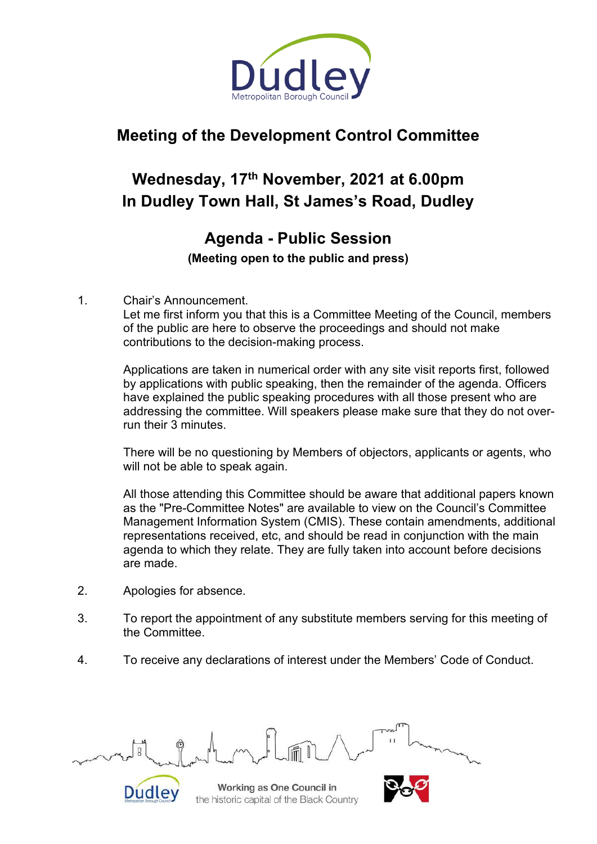

# **Meeting of the Development Control Committee**

# **Wednesday, 17th November, 2021 at 6.00pm In Dudley Town Hall, St James's Road, Dudley**

# **Agenda - Public Session (Meeting open to the public and press)**

#### 1. Chair's Announcement.

Let me first inform you that this is a Committee Meeting of the Council, members of the public are here to observe the proceedings and should not make contributions to the decision-making process.

Applications are taken in numerical order with any site visit reports first, followed by applications with public speaking, then the remainder of the agenda. Officers have explained the public speaking procedures with all those present who are addressing the committee. Will speakers please make sure that they do not overrun their 3 minutes.

There will be no questioning by Members of objectors, applicants or agents, who will not be able to speak again.

All those attending this Committee should be aware that additional papers known as the "Pre-Committee Notes" are available to view on the Council's Committee Management Information System (CMIS). These contain amendments, additional representations received, etc, and should be read in conjunction with the main agenda to which they relate. They are fully taken into account before decisions are made.

- 2. Apologies for absence.
- 3. To report the appointment of any substitute members serving for this meeting of the Committee.
- 4. To receive any declarations of interest under the Members' Code of Conduct.



Working as One Council in the historic capital of the Black Country

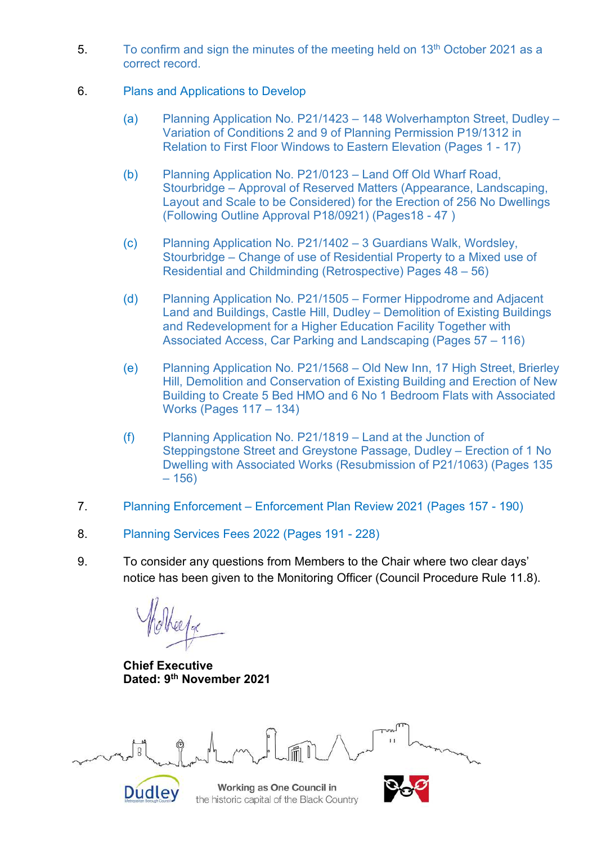- 5. To confirm and sign the minutes of the meeting held on  $13<sup>th</sup>$  October 2021 as a correct record.
- 6. Plans and Applications to Develop
	- (a) Planning Application No. P21/1423 148 Wolverhampton Street, Dudley Variation of Conditions 2 and 9 of Planning Permission P19/1312 in Relation to First Floor Windows to Eastern Elevation (Pages 1 - 17)
	- (b) Planning Application No. P21/0123 Land Off Old Wharf Road, Stourbridge – Approval of Reserved Matters (Appearance, Landscaping, Layout and Scale to be Considered) for the Erection of 256 No Dwellings (Following Outline Approval P18/0921) (Pages18 - 47 )
	- (c) Planning Application No. P21/1402 3 Guardians Walk, Wordsley, Stourbridge – Change of use of Residential Property to a Mixed use of Residential and Childminding (Retrospective) Pages 48 – 56)
	- (d) Planning Application No. P21/1505 Former Hippodrome and Adjacent Land and Buildings, Castle Hill, Dudley – Demolition of Existing Buildings and Redevelopment for a Higher Education Facility Together with Associated Access, Car Parking and Landscaping (Pages 57 – 116)
	- (e) Planning Application No. P21/1568 Old New Inn, 17 High Street, Brierley Hill, Demolition and Conservation of Existing Building and Erection of New Building to Create 5 Bed HMO and 6 No 1 Bedroom Flats with Associated Works (Pages 117 – 134)
	- (f) Planning Application No. P21/1819 Land at the Junction of Steppingstone Street and Greystone Passage, Dudley – Erection of 1 No Dwelling with Associated Works (Resubmission of P21/1063) (Pages 135  $-156$
- 7. Planning Enforcement Enforcement Plan Review 2021 (Pages 157 190)
- 8. Planning Services Fees 2022 (Pages 191 228)
- 9. To consider any questions from Members to the Chair where two clear days' notice has been given to the Monitoring Officer (Council Procedure Rule 11.8).

**Chief Executive Dated: 9 th November 2021**



Working as One Council in the historic capital of the Black Country

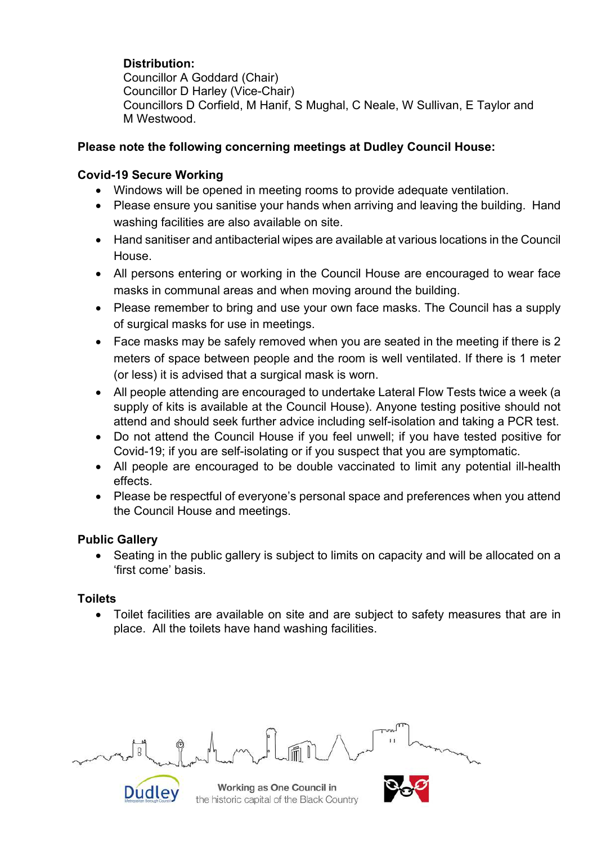## **Distribution:**

Councillor A Goddard (Chair) Councillor D Harley (Vice-Chair) Councillors D Corfield, M Hanif, S Mughal, C Neale, W Sullivan, E Taylor and M Westwood.

### **Please note the following concerning meetings at Dudley Council House:**

### **Covid-19 Secure Working**

- Windows will be opened in meeting rooms to provide adequate ventilation.
- Please ensure you sanitise your hands when arriving and leaving the building. Hand washing facilities are also available on site.
- Hand sanitiser and antibacterial wipes are available at various locations in the Council House.
- All persons entering or working in the Council House are encouraged to wear face masks in communal areas and when moving around the building.
- Please remember to bring and use your own face masks. The Council has a supply of surgical masks for use in meetings.
- Face masks may be safely removed when you are seated in the meeting if there is 2 meters of space between people and the room is well ventilated. If there is 1 meter (or less) it is advised that a surgical mask is worn.
- All people attending are encouraged to undertake Lateral Flow Tests twice a week (a supply of kits is available at the Council House). Anyone testing positive should not attend and should seek further advice including self-isolation and taking a PCR test.
- Do not attend the Council House if you feel unwell; if you have tested positive for Covid-19; if you are self-isolating or if you suspect that you are symptomatic.
- All people are encouraged to be double vaccinated to limit any potential ill-health effects.
- Please be respectful of everyone's personal space and preferences when you attend the Council House and meetings.

### **Public Gallery**

• Seating in the public gallery is subject to limits on capacity and will be allocated on a 'first come' basis.

### **Toilets**

 Toilet facilities are available on site and are subject to safety measures that are in place. All the toilets have hand washing facilities.



Working as One Council in the historic capital of the Black Country